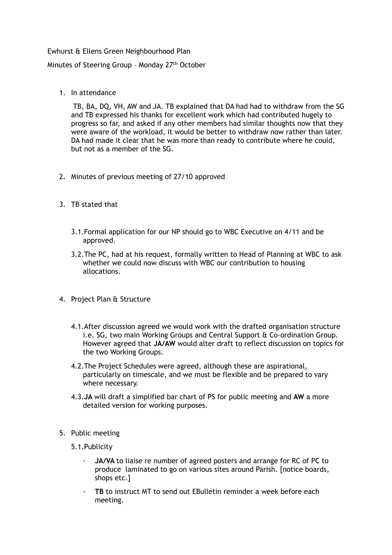## Ewhurst & Ellens Green Neighbourhood Plan

Minutes of Steering Group - Monday 27<sup>th</sup> October

1. In attendance

 TB, BA, DQ, VH, AW and JA. TB explained that DA had had to withdraw from the SG and TB expressed his thanks for excellent work which had contributed hugely to progress so far, and asked if any other members had similar thoughts now that they were aware of the workload, it would be better to withdraw now rather than later. DA had made it clear that he was more than ready to contribute where he could, but not as a member of the SG.

- 2. Minutes of previous meeting of 27/10 approved
- 3. TB stated that
	- 3.1.Formal application for our NP should go to WBC Executive on 4/11 and be approved.
	- 3.2.The PC, had at his request, formally written to Head of Planning at WBC to ask whether we could now discuss with WBC our contribution to housing allocations.
- 4. Project Plan & Structure
	- 4.1.After discussion agreed we would work with the drafted organisation structure i.e. SG, two main Working Groups and Central Support & Co-ordination Group. However agreed that **JA/AW** would alter draft to reflect discussion on topics for the two Working Groups.
	- 4.2.The Project Schedules were agreed, although these are aspirational, particularly on timescale, and we must be flexible and be prepared to vary where necessary.
	- 4.3.**JA** will draft a simplified bar chart of PS for public meeting and **AW** a more detailed version for working purposes.
- 5. Public meeting
	- 5.1.Publicity
		- **JA/VA** to liaise re number of agreed posters and arrange for RC of PC to produce laminated to go on various sites around Parish. [notice boards, shops etc.]
		- **TB** to instruct MT to send out EBulletin reminder a week before each meeting.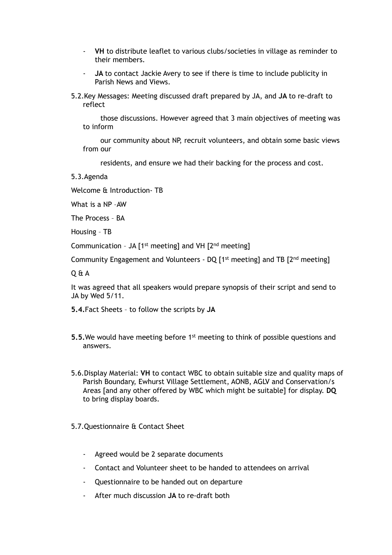- **VH** to distribute leaflet to various clubs/societies in village as reminder to their members.
- **JA** to contact Jackie Avery to see if there is time to include publicity in Parish News and Views.
- 5.2.Key Messages: Meeting discussed draft prepared by JA, and **JA** to re-draft to reflect

 those discussions. However agreed that 3 main objectives of meeting was to inform

 our community about NP, recruit volunteers, and obtain some basic views from our

residents, and ensure we had their backing for the process and cost.

5.3.Agenda

Welcome & Introduction- TB

What is a NP –AW

The Process – BA

Housing – TB

Communication – JA [1st meeting] and VH [2nd meeting]

Community Engagement and Volunteers - DQ [1st meeting] and TB [2nd meeting]

Q & A

It was agreed that all speakers would prepare synopsis of their script and send to JA by Wed 5/11.

- **5.4.**Fact Sheets to follow the scripts by **JA**
- **5.5.** We would have meeting before 1<sup>st</sup> meeting to think of possible questions and answers.
- 5.6.Display Material: **VH** to contact WBC to obtain suitable size and quality maps of Parish Boundary, Ewhurst Village Settlement, AONB, AGLV and Conservation/s Areas [and any other offered by WBC which might be suitable] for display. **DQ**  to bring display boards.
- 5.7.Questionnaire & Contact Sheet
	- Agreed would be 2 separate documents
	- Contact and Volunteer sheet to be handed to attendees on arrival
	- Questionnaire to be handed out on departure
	- After much discussion **JA** to re-draft both